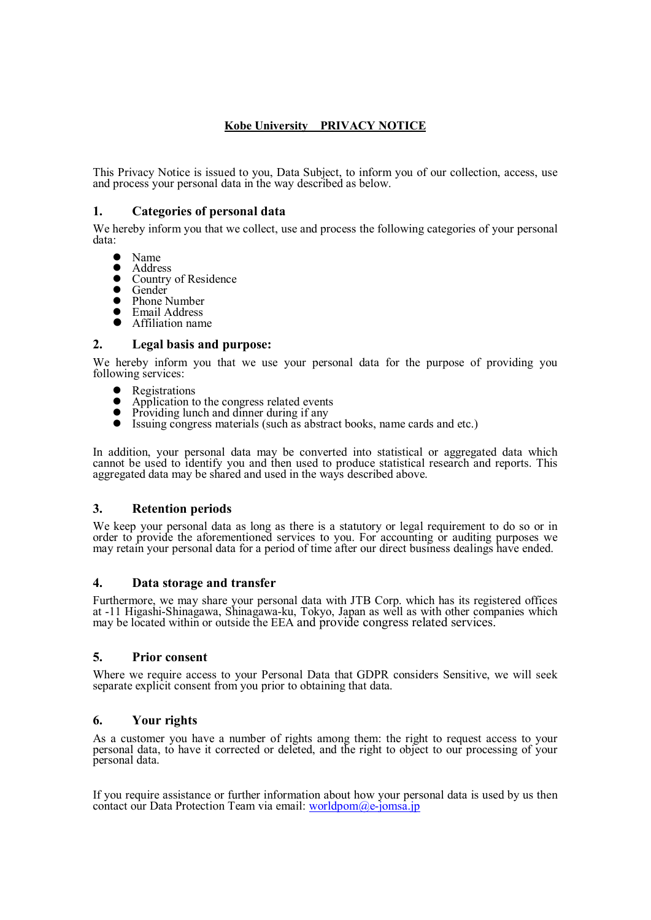# **Kobe University PRIVACY NOTICE**

This Privacy Notice is issued to you, Data Subject, to inform you of our collection, access, use and process your personal data in the way described as below.

## **1. Categories of personal data**

We hereby inform you that we collect, use and process the following categories of your personal data:

- $\bullet$  Name
- Address
- Country of Residence
- Gender<br>• Phone
- Phone Number<br>• Email Address
- Email Address
- Affiliation name

#### **2. Legal basis and purpose:**

We hereby inform you that we use your personal data for the purpose of providing you following services:

- Registrations
- Application to the congress related events
- Providing lunch and dinner during if any
- Issuing congress materials (such as abstract books, name cards and etc.)

In addition, your personal data may be converted into statistical or aggregated data which cannot be used to identify you and then used to produce statistical research and reports. This aggregated data may be shared and used in the ways described above.

### **3. Retention periods**

We keep your personal data as long as there is a statutory or legal requirement to do so or in order to provide the aforementioned services to you. For accounting or auditing purposes we may retain your personal data for a period of time after our direct business dealings have ended.

### **4. Data storage and transfer**

Furthermore, we may share your personal data with JTB Corp. which has its registered offices at -11 Higashi-Shinagawa, Shinagawa-ku, Tokyo, Japan as well as with other companies which may be located within or outside the EEA and provide congress related services.

### **5. Prior consent**

Where we require access to your Personal Data that GDPR considers Sensitive, we will seek separate explicit consent from you prior to obtaining that data.

### **6. Your rights**

As a customer you have a number of rights among them: the right to request access to your personal data, to have it corrected or deleted, and the right to object to our processing of your personal data.

If you require assistance or further information about how your personal data is used by us then contact our Data Protection Team via email:  $worldpom@e-jomsa.jp$ </u>